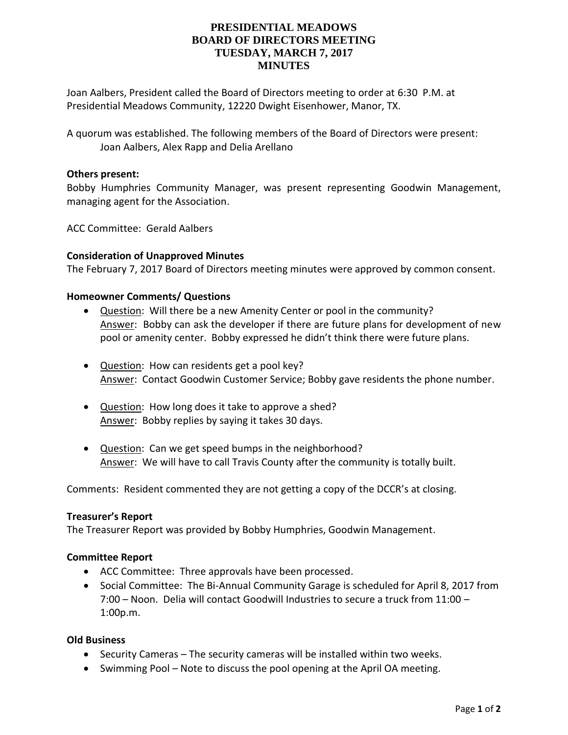# **PRESIDENTIAL MEADOWS BOARD OF DIRECTORS MEETING TUESDAY, MARCH 7, 2017 MINUTES**

Joan Aalbers, President called the Board of Directors meeting to order at 6:30 P.M. at Presidential Meadows Community, 12220 Dwight Eisenhower, Manor, TX.

A quorum was established. The following members of the Board of Directors were present: Joan Aalbers, Alex Rapp and Delia Arellano

## **Others present:**

Bobby Humphries Community Manager, was present representing Goodwin Management, managing agent for the Association.

ACC Committee: Gerald Aalbers

## **Consideration of Unapproved Minutes**

The February 7, 2017 Board of Directors meeting minutes were approved by common consent.

## **Homeowner Comments/ Questions**

- Question: Will there be a new Amenity Center or pool in the community? Answer: Bobby can ask the developer if there are future plans for development of new pool or amenity center. Bobby expressed he didn't think there were future plans.
- Question: How can residents get a pool key? Answer: Contact Goodwin Customer Service; Bobby gave residents the phone number.
- Question: How long does it take to approve a shed? Answer: Bobby replies by saying it takes 30 days.
- Question: Can we get speed bumps in the neighborhood? Answer: We will have to call Travis County after the community is totally built.

Comments: Resident commented they are not getting a copy of the DCCR's at closing.

### **Treasurer's Report**

The Treasurer Report was provided by Bobby Humphries, Goodwin Management.

### **Committee Report**

- ACC Committee: Three approvals have been processed.
- Social Committee: The Bi-Annual Community Garage is scheduled for April 8, 2017 from 7:00 – Noon. Delia will contact Goodwill Industries to secure a truck from 11:00 – 1:00p.m.

## **Old Business**

- Security Cameras The security cameras will be installed within two weeks.
- Swimming Pool Note to discuss the pool opening at the April OA meeting.